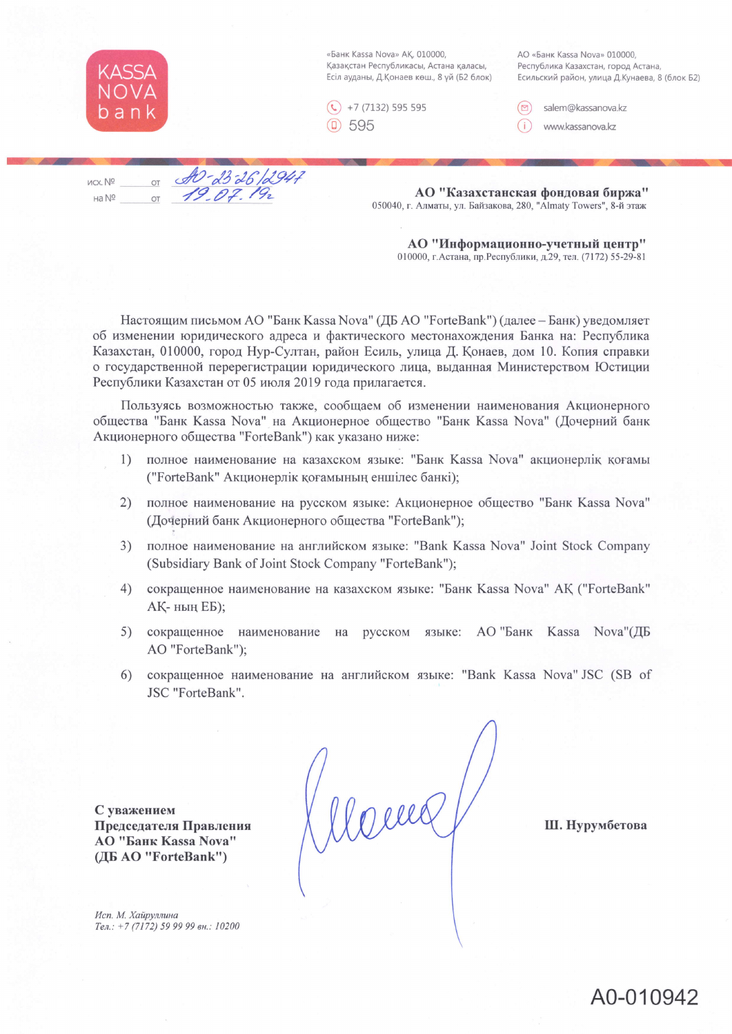

«Банк Kassa Nova» АҚ, 010000, Қазақстан Республикасы, Астана қаласы, Есіл ауданы, Д.Қонаев көш., 8 үй (Б2 блок) AO «Банк Kassa Nova» 010000, Республика Казахстан, город Астана, Есильский район, улица Д.Кунаева, 8 (блок Б2)



salem@kassanova.kz

www.kassanova.kz

 $\frac{dD}{d\beta}$  db 26/2947 исх. № на Nº

АО "Казахстанская фондовая биржа" 050040, г. Алматы, ул. Байзакова, 280, "Almaty Towers", 8-й этаж

АО "Информационно-учетный центр" 010000, г. Астана, пр. Республики, д.29, тел. (7172) 55-29-81

Настоящим письмом АО "Банк Kassa Nova" (ДБ АО "ForteBank") (далее - Банк) уведомляет об изменении юридического адреса и фактического местонахождения Банка на: Республика Казахстан, 010000, город Нур-Султан, район Есиль, улица Д. Қонаев, дом 10. Копия справки о государственной перерегистрации юридического лица, выданная Министерством Юстиции Республики Казахстан от 05 июля 2019 года прилагается.

Пользуясь возможностью также, сообщаем об изменении наименования Акционерного общества "Банк Kassa Nova" на Акционерное общество "Банк Kassa Nova" (Дочерний банк Акционерного общества "ForteBank") как указано ниже:

- полное наименование на казахском языке: "Банк Kassa Nova" акционерлік қоғамы  $\left( \frac{1}{2} \right)$ ("ForteBank" Акционерлік қоғамының еншілес банкі);
- 2) полное наименование на русском языке: Акционерное общество "Банк Kassa Nova" (Дочерний банк Акционерного общества "ForteBank");
- полное наименование на английском языке: "Bank Kassa Nova" Joint Stock Company  $3)$ (Subsidiary Bank of Joint Stock Company "ForteBank");
- сокращенное наименование на казахском языке: "Банк Kassa Nova" АҚ ("ForteBank"  $(4)$ АҚ-ның ЕБ);
- сокращенное наименование на русском языке: АО "Банк Kassa Nova"(ДБ 5) AO "ForteBank");
- 6) сокращенное наименование на английском языке: "Bank Kassa Nova" JSC (SB of JSC "ForteBank".

С уважением Председателя Правления **АО "Банк Kassa Nova"** (ДБ AO "ForteBank")

Wome

Ш. Нурумбетова

Исп. М. Хайруллина Тел.: +7 (7172) 59 99 99 вн.: 10200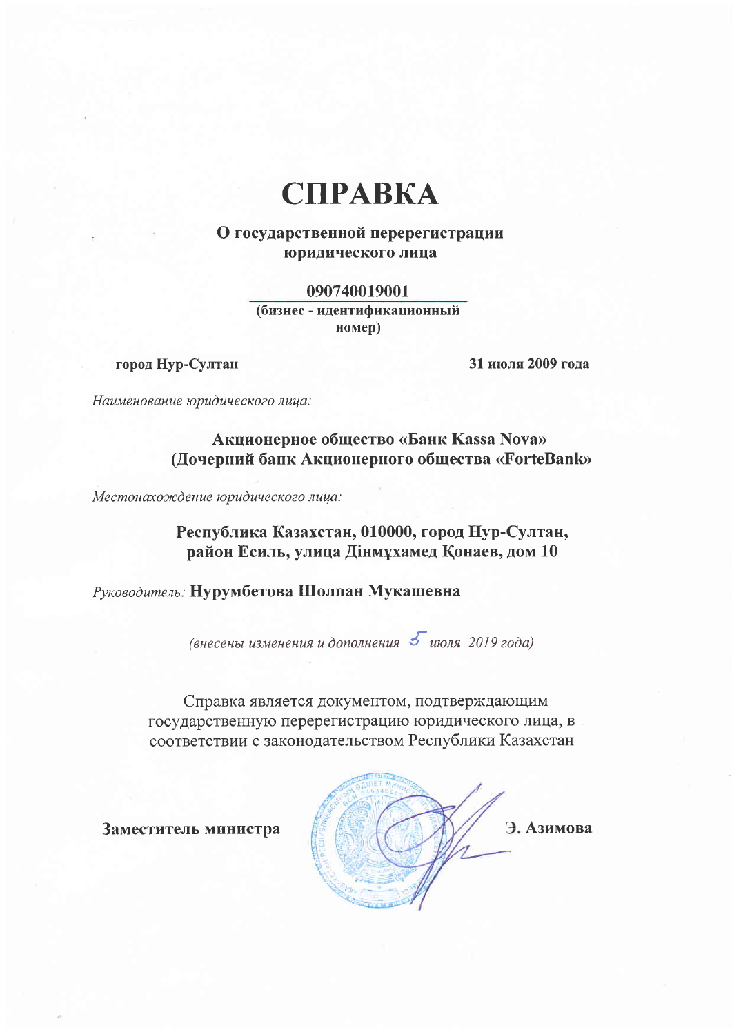## **CIIPABKA**

## О государственной перерегистрации юридического лица

090740019001 (бизнес - идентификационный номер)

город Нур-Султан

31 июля 2009 года

Наименование юридического лица:

Акционерное общество «Банк Kassa Nova» (Дочерний банк Акционерного общества «ForteBank»

Местонахождение юридического лица:

Республика Казахстан, 010000, город Нур-Султан, район Есиль, улица Дінмұхамед Қонаев, дом 10

Руководитель: Нурумбетова Шолпан Мукашевна

(внесены изменения и дополнения 5 июля 2019 года)

Справка является документом, подтверждающим государственную перерегистрацию юридического лица, в соответствии с законодательством Республики Казахстан

Заместитель министра